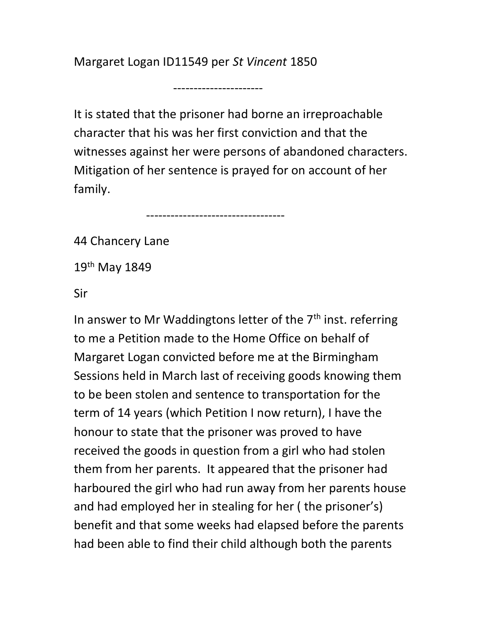Margaret Logan ID11549 per St Vincent 1850

----------------------

----------------------------------

It is stated that the prisoner had borne an irreproachable character that his was her first conviction and that the witnesses against her were persons of abandoned characters. Mitigation of her sentence is prayed for on account of her family.

44 Chancery Lane

19th May 1849

Sir

In answer to Mr Waddingtons letter of the  $7<sup>th</sup>$  inst. referring to me a Petition made to the Home Office on behalf of Margaret Logan convicted before me at the Birmingham Sessions held in March last of receiving goods knowing them to be been stolen and sentence to transportation for the term of 14 years (which Petition I now return), I have the honour to state that the prisoner was proved to have received the goods in question from a girl who had stolen them from her parents. It appeared that the prisoner had harboured the girl who had run away from her parents house and had employed her in stealing for her ( the prisoner's) benefit and that some weeks had elapsed before the parents had been able to find their child although both the parents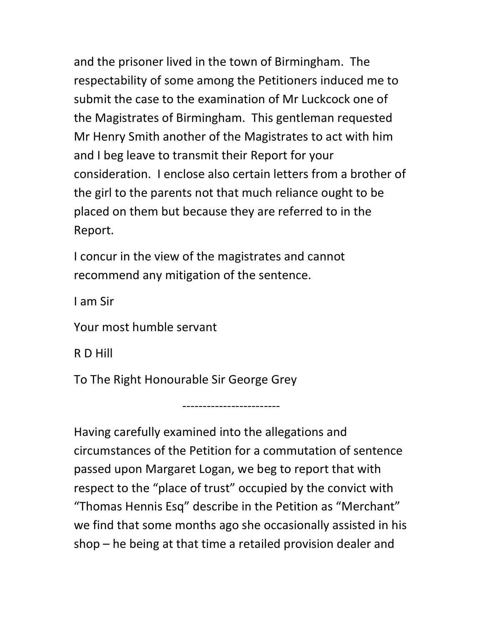and the prisoner lived in the town of Birmingham. The respectability of some among the Petitioners induced me to submit the case to the examination of Mr Luckcock one of the Magistrates of Birmingham. This gentleman requested Mr Henry Smith another of the Magistrates to act with him and I beg leave to transmit their Report for your consideration. I enclose also certain letters from a brother of the girl to the parents not that much reliance ought to be placed on them but because they are referred to in the Report.

I concur in the view of the magistrates and cannot recommend any mitigation of the sentence.

I am Sir

Your most humble servant

R D Hill

To The Right Honourable Sir George Grey

------------------------

Having carefully examined into the allegations and circumstances of the Petition for a commutation of sentence passed upon Margaret Logan, we beg to report that with respect to the "place of trust" occupied by the convict with "Thomas Hennis Esq" describe in the Petition as "Merchant" we find that some months ago she occasionally assisted in his shop – he being at that time a retailed provision dealer and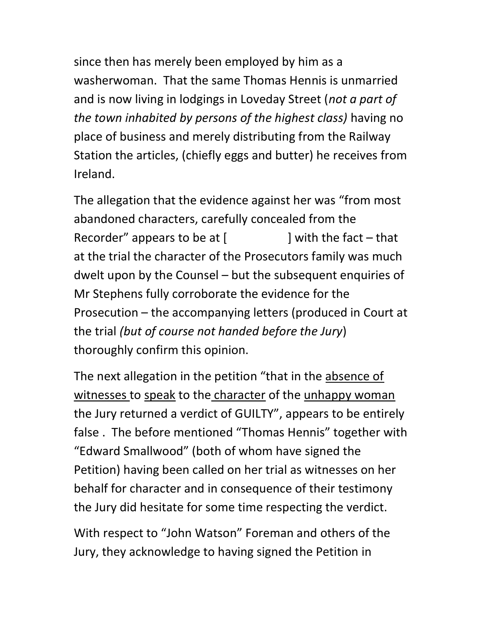since then has merely been employed by him as a washerwoman. That the same Thomas Hennis is unmarried and is now living in lodgings in Loveday Street (not a part of the town inhabited by persons of the highest class) having no place of business and merely distributing from the Railway Station the articles, (chiefly eggs and butter) he receives from Ireland.

The allegation that the evidence against her was "from most abandoned characters, carefully concealed from the Recorder" appears to be at  $\lceil$  | with the fact – that at the trial the character of the Prosecutors family was much dwelt upon by the Counsel – but the subsequent enquiries of Mr Stephens fully corroborate the evidence for the Prosecution – the accompanying letters (produced in Court at the trial (but of course not handed before the Jury) thoroughly confirm this opinion.

The next allegation in the petition "that in the absence of witnesses to speak to the character of the unhappy woman the Jury returned a verdict of GUILTY", appears to be entirely false . The before mentioned "Thomas Hennis" together with "Edward Smallwood" (both of whom have signed the Petition) having been called on her trial as witnesses on her behalf for character and in consequence of their testimony the Jury did hesitate for some time respecting the verdict.

With respect to "John Watson" Foreman and others of the Jury, they acknowledge to having signed the Petition in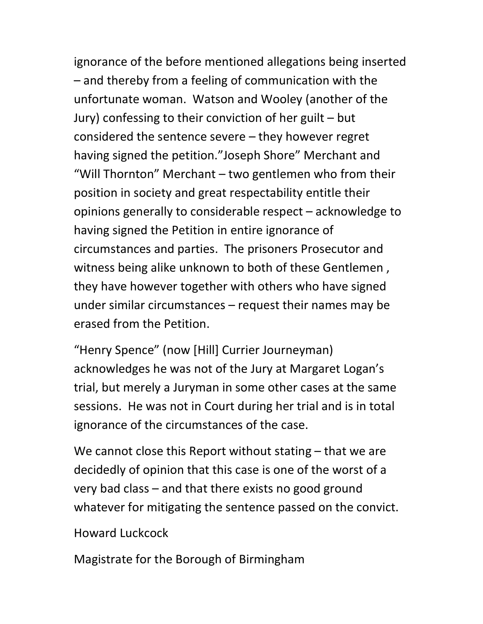ignorance of the before mentioned allegations being inserted – and thereby from a feeling of communication with the unfortunate woman. Watson and Wooley (another of the Jury) confessing to their conviction of her guilt – but considered the sentence severe – they however regret having signed the petition."Joseph Shore" Merchant and "Will Thornton" Merchant – two gentlemen who from their position in society and great respectability entitle their opinions generally to considerable respect – acknowledge to having signed the Petition in entire ignorance of circumstances and parties. The prisoners Prosecutor and witness being alike unknown to both of these Gentlemen , they have however together with others who have signed under similar circumstances – request their names may be erased from the Petition.

"Henry Spence" (now [Hill] Currier Journeyman) acknowledges he was not of the Jury at Margaret Logan's trial, but merely a Juryman in some other cases at the same sessions. He was not in Court during her trial and is in total ignorance of the circumstances of the case.

We cannot close this Report without stating – that we are decidedly of opinion that this case is one of the worst of a very bad class – and that there exists no good ground whatever for mitigating the sentence passed on the convict.

Howard Luckcock

Magistrate for the Borough of Birmingham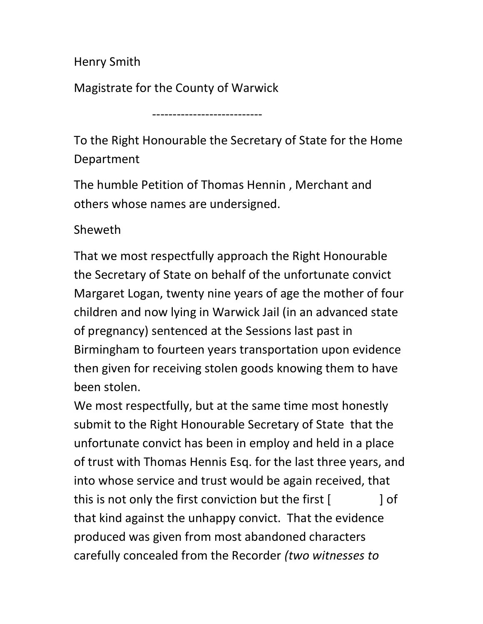Henry Smith

Magistrate for the County of Warwick

---------------------------

To the Right Honourable the Secretary of State for the Home Department

The humble Petition of Thomas Hennin , Merchant and others whose names are undersigned.

## Sheweth

That we most respectfully approach the Right Honourable the Secretary of State on behalf of the unfortunate convict Margaret Logan, twenty nine years of age the mother of four children and now lying in Warwick Jail (in an advanced state of pregnancy) sentenced at the Sessions last past in Birmingham to fourteen years transportation upon evidence then given for receiving stolen goods knowing them to have been stolen.

We most respectfully, but at the same time most honestly submit to the Right Honourable Secretary of State that the unfortunate convict has been in employ and held in a place of trust with Thomas Hennis Esq. for the last three years, and into whose service and trust would be again received, that this is not only the first conviction but the first  $[$   $]$  of that kind against the unhappy convict. That the evidence produced was given from most abandoned characters carefully concealed from the Recorder (two witnesses to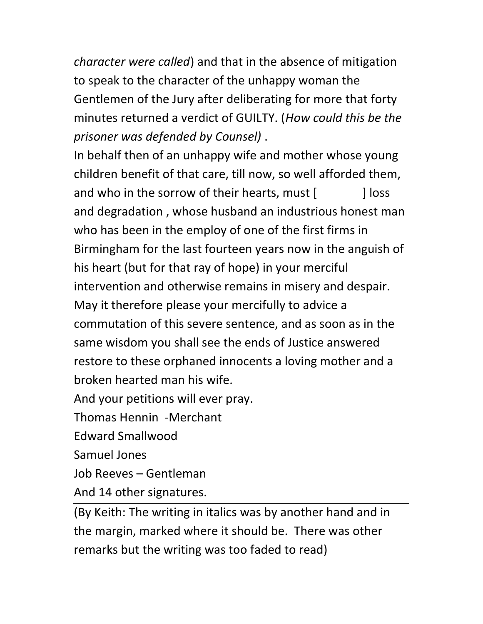character were called) and that in the absence of mitigation to speak to the character of the unhappy woman the Gentlemen of the Jury after deliberating for more that forty minutes returned a verdict of GUILTY. (How could this be the prisoner was defended by Counsel) .

In behalf then of an unhappy wife and mother whose young children benefit of that care, till now, so well afforded them, and who in the sorrow of their hearts, must [ ] loss and degradation , whose husband an industrious honest man who has been in the employ of one of the first firms in Birmingham for the last fourteen years now in the anguish of his heart (but for that ray of hope) in your merciful intervention and otherwise remains in misery and despair. May it therefore please your mercifully to advice a commutation of this severe sentence, and as soon as in the same wisdom you shall see the ends of Justice answered restore to these orphaned innocents a loving mother and a broken hearted man his wife.

And your petitions will ever pray.

Thomas Hennin -Merchant

Edward Smallwood

Samuel Jones

Job Reeves – Gentleman

And 14 other signatures.

(By Keith: The writing in italics was by another hand and in the margin, marked where it should be. There was other remarks but the writing was too faded to read)